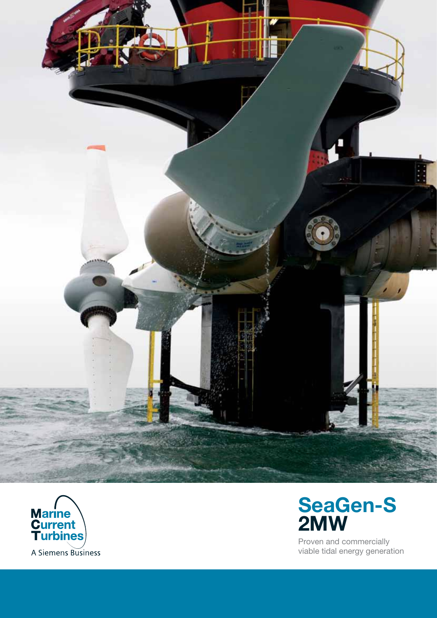



# SeaGen-S 2MW

Proven and commercially viable tidal energy generation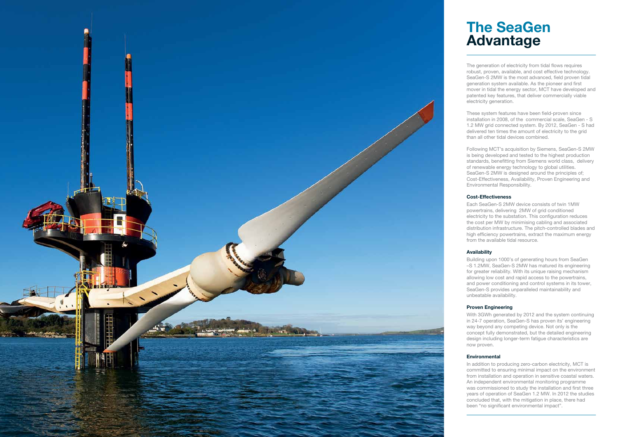

# The SeaGen Advantage

The generation of electricity from tidal flows requires robust, proven, available, and cost effective technology. SeaGen-S 2MW is the most advanced, field proven tidal generation system available. As the pioneer and first mover in tidal the energy sector, MCT have developed and patented key features, that deliver commercially viable electricity generation.

These system features have been field-proven since installation in 2008, of the commercial scale, SeaGen - S 1.2 MW grid connected system. By 2012, SeaGen - S had delivered ten times the amount of electricity to the grid than all other tidal devices combined.

Following MCT's acquisition by Siemens, SeaGen-S 2MW is being developed and tested to the highest production standards, benefitting from Siemens world class, delivery of renewable energy technology to global utilities. SeaGen-S 2MW is designed around the principles of; Cost-Effectiveness, Availability, Proven Engineering and Environmental Responsibility.

# Cost-Effectiveness

Each SeaGen-S 2MW device consists of twin 1MW powertrains, delivering 2MW of grid conditioned electricity to the substation. This configuration reduces the cost per MW by minimising cabling and associated distribution infrastructure. The pitch-controlled blades and high efficiency powertrains, extract the maximum energy from the available tidal resource.

In addition to producing zero-carbon electricity, MCT is committed to ensuring minimal impact on the environment from installation and operation in sensitive coastal waters. An independent environmental monitoring programme was commissioned to study the installation and first three years of operation of SeaGen 1.2 MW. In 2012 the studies concluded that, with the mitigation in place, there had been "no significant environmental impact".

# Availability

Building upon 1000's of generating hours from SeaGen –S 1.2MW, SeaGen-S 2MW has matured its engineering for greater reliability. With its unique raising mechanism allowing low cost and rapid access to the powertrains, and power conditioning and control systems in its tower, SeaGen-S provides unparalleled maintainability and unbeatable availability.

# Proven Engineering

With 3GWh generated by 2012 and the system continuing in 24-7 operation, SeaGen-S has proven its' engineering way beyond any competing device. Not only is the concept fully demonstrated, but the detailed engineering design including longer-term fatigue characteristics are now proven.

## Environmental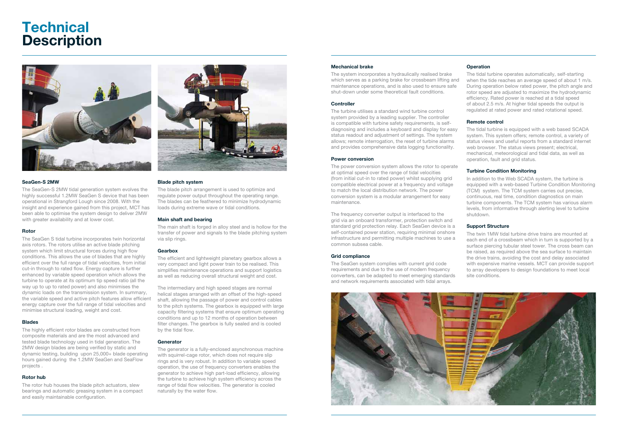# **Technical Description**



## SeaGen-S 2MW

The SeaGen-S 2MW tidal generation system evolves the highly successful 1.2MW SeaGen S device that has been operational in Strangford Lough since 2008. With the insight and experience gained from this project, MCT has been able to optimise the system design to deliver 2MW with greater availability and at lower cost.

#### Rotor

The SeaGen S tidal turbine incorporates twin horizontal axis rotors. The rotors utilise an active blade pitching system which limit structural forces during high flow conditions. This allows the use of blades that are highly efficient over the full range of tidal velocities, from initial cut-in through to rated flow. Energy capture is further enhanced by variable speed operation which allows the turbine to operate at its optimum tip speed ratio (all the way up to up to rated power) and also minimises the dynamic loads on the transmission system. In summary, the variable speed and active pitch features allow efficient energy capture over the full range of tidal velocities and minimise structural loading, weight and cost.

#### Blades

The highly efficient rotor blades are constructed from composite materials and are the most advanced and tested blade technology used in tidal generation. The 2MW design blades are being verified by static and dynamic testing, building upon 25,000+ blade operating hours gained during the 1.2MW SeaGen and SeaFlow projects .

## Rotor hub

The rotor hub houses the blade pitch actuators, slew bearings and automatic greasing system in a compact and easily maintainable configuration.



#### Blade pitch system

The blade pitch arrangement is used to optimize and regulate power output throughout the operating range. The blades can be feathered to minimize hydrodynamic loads during extreme wave or tidal conditions.

#### Main shaft and bearing

The main shaft is forged in alloy steel and is hollow for the transfer of power and signals to the blade pitching system via slip rings.

#### Gearbox

The efficient and lightweight planetary gearbox allows a very compact and light power train to be realised. This simplifies maintenance operations and support logistics as well as reducing overall structural weight and cost.

The intermediary and high speed stages are normal helical stages arranged with an offset of the high-speed shaft, allowing the passage of power and control cables to the pitch systems. The gearbox is equipped with large capacity filtering systems that ensure optimum operating conditions and up to 12 months of operation between filter changes. The gearbox is fully sealed and is cooled by the tidal flow.

#### Generator

In addition to the Web SCADA system, the turbine is equipped with a web-based Turbine Condition Monitoring (TCM) system. The TCM system carries out precise, continuous, real time, condition diagnostics on main turbine components. The TCM system has various alarm levels, from informative through alerting level to turbine shutdown.

The generator is a fully-enclosed asynchronous machine with squirrel-cage rotor, which does not require slip rings and is very robust. In addition to variable speed operation, the use of frequency converters enables the generator to achieve high part-load efficiency, allowing the turbine to achieve high system efficiency across the range of tidal flow velocities. The generator is cooled naturally by the water flow.

#### Mechanical brake

The system incorporates a hydraulically realised brake which serves as a parking brake for crossbeam lifting and maintenance operations, and is also used to ensure safe shut-down under some theoretical fault conditions.

## **Controller**

The turbine utilises a standard wind turbine control system provided by a leading supplier. The controller is compatible with turbine safety requirements, is selfdiagnosing and includes a keyboard and display for easy status readout and adjustment of settings. The system allows; remote interrogation, the reset of turbine alarms and provides comprehensive data logging functionality.

#### Power conversion

The power conversion system allows the rotor to operate at optimal speed over the range of tidal velocities (from initial cut-in to rated power) whilst supplying grid compatible electrical power at a frequency and voltage to match the local distribution network. The power conversion system is a modular arrangement for easy maintenance.

The frequency converter output is interfaced to the grid via an onboard transformer, protection switch and standard grid protection relay. Each SeaGen device is a self-contained power station, requiring minimal onshore infrastructure and permitting multiple machines to use a common subsea cable.

#### Grid compliance

The SeaGen system complies with current grid code requirements and due to the use of modern frequency converters, can be adapted to meet emerging standards and network requirements associated with tidal arrays.



# **Operation**

The tidal turbine operates automatically, self-starting when the tide reaches an average speed of about 1 m/s. During operation below rated power, the pitch angle and rotor speed are adjusted to maximize the hydrodynamic efficiency. Rated power is reached at a tidal speed of about 2.5 m/s. At higher tidal speeds the output is regulated at rated power and rated rotational speed.

# Remote control

The tidal turbine is equipped with a web based SCADA system. This system offers; remote control, a variety of status views and useful reports from a standard internet web browser. The status views present; electrical, mechanical, meteorological and tidal data, as well as operation, fault and grid status.

# Turbine Condition Monitoring

## Support Structure

The twin 1MW tidal turbine drive trains are mounted at each end of a crossbeam which in turn is supported by a surface piercing tubular steel tower. The cross beam can be raised, as required above the sea surface to maintain the drive trains, avoiding the cost and delay associated with expensive marine vessels. MCT can provide support to array developers to design foundations to meet local site conditions.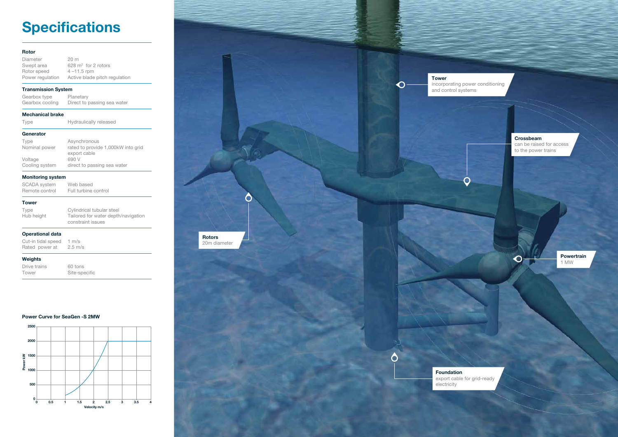# **Specifications**

| <b>Rotor</b>                                              |                                                                                       |
|-----------------------------------------------------------|---------------------------------------------------------------------------------------|
| Diameter<br>Swept area<br>Rotor speed<br>Power regulation | 20 m<br>628 $m^2$ for 2 rotors<br>$4 - 11.5$ rpm<br>Active blade pitch regulation     |
| <b>Transmission System</b>                                |                                                                                       |
| Gearbox type<br>Gearbox cooling                           | Planetary<br>Direct to passing sea water                                              |
| Mechanical brake                                          |                                                                                       |
| Type                                                      | Hydraulically released                                                                |
| Generator                                                 |                                                                                       |
| Type<br>Nominal power                                     | Asynchronous<br>rated to provide 1,000kW into grid<br>export cable                    |
| Voltage                                                   | 690 V                                                                                 |
| Cooling system                                            | direct to passing sea water                                                           |
| <b>Monitoring system</b>                                  |                                                                                       |
| <b>SCADA</b> system<br>Remote control                     | Web based<br>Full turbine control                                                     |
| <b>Tower</b>                                              |                                                                                       |
| Type<br>Hub height                                        | Cylindrical tubular steel<br>Tailored for water depth/navigation<br>constraint issues |
| <b>Operational data</b>                                   |                                                                                       |
| Cut-in tidal speed<br>Rated power at                      | $1 \text{ m/s}$<br>$2.5 \text{ m/s}$                                                  |
| <b>Weights</b>                                            |                                                                                       |
| Drive trains<br>Tower                                     | 60 tons<br>Site-specific                                                              |

# Power Curve for SeaGen -S 2MW



Crossbeam can be raised for access to the power trains

 $\overline{\mathbf{O}}$